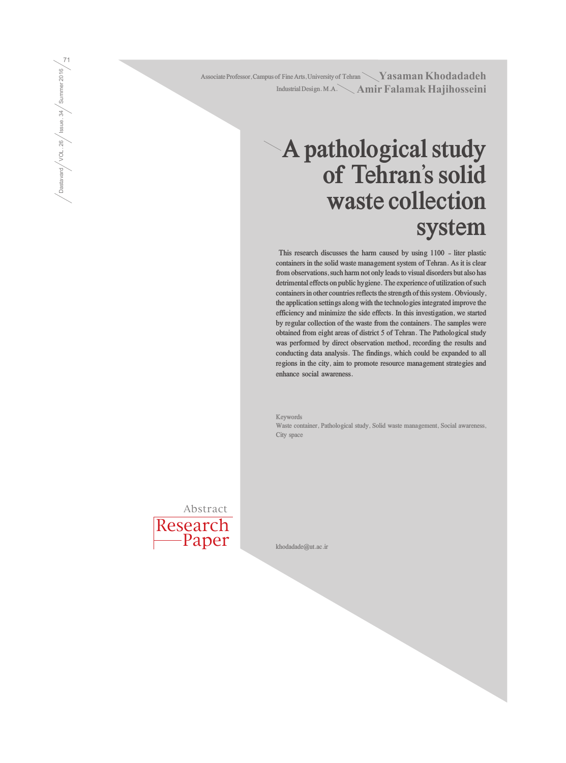Associate Professor, Campus of Fine Arts, University of Tehran **Nash Associate Professor, Campus of Fine Arts**, University of Tehran Amir Falamak Hajihosseini **Industrial Design. M.A.**

## **A pathological study of Tehran's solid waste collection system**

 **This research discusses the harm caused by using 1100 - liter plastic containers in the solid waste management system of Tehran. As it is clear from observations, such harm not only leads to visual disorders but also has detrimental effects on public hygiene. The experience of utilization of such containers in other countries reflects the strength of this system. Obviously, the application settings along with the technologies integrated improve the efficiency and minimize the side effects. In this investigation, we started by regular collection of the waste from the containers. The samples were obtained from eight areas of district 5 of Tehran. The Pathological study was performed by direct observation method, recording the results and conducting data analysis. The findings, which could be expanded to all regions in the city, aim to promote resource management strategies and enhance social awareness.** 

**Keywords Waste container, Pathological study, Solid waste management, Social awareness, City space**

Research Abstract

Paper

**khodadade@ut.ac.ir**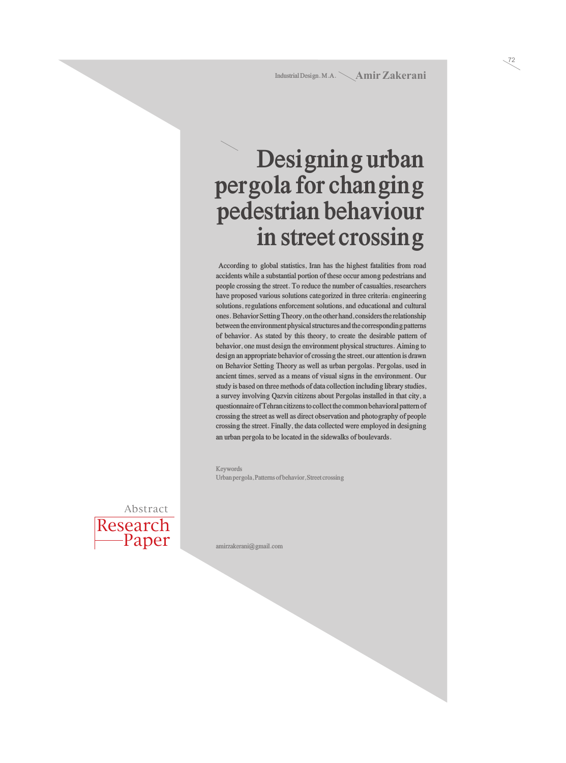### **Designing urban pergola for changing pedestrian behaviour in street crossing**

 **According to global statistics, Iran has the highest fatalities from road accidents while a substantial portion of these occur among pedestrians and people crossing the street. To reduce the number of casualties, researchers have proposed various solutions categorized in three criteria: engineering solutions, regulations enforcement solutions, and educational and cultural ones. Behavior Setting Theory, on the other hand, considers the relationship between the environment physical structures and the corresponding patterns of behavior. As stated by this theory, to create the desirable pattern of behavior, one must design the environment physical structures. Aiming to design an appropriate behavior of crossing the street, our attention is drawn on Behavior Setting Theory as well as urban pergolas. Pergolas, used in ancient times, served as a means of visual signs in the environment. Our study is based on three methods of data collection including library studies, a survey involving Qazvin citizens about Pergolas installed in that city, a questionnaire of Tehran citizens to collect the common behavioral pattern of crossing the street as well as direct observation and photography of people crossing the street. Finally, the data collected were employed in designing an urban pergola to be located in the sidewalks of boulevards.** 

**Keywords Urban pergola, Patterns of behavior, Street crossing**



**amirzakerani@gmail.com**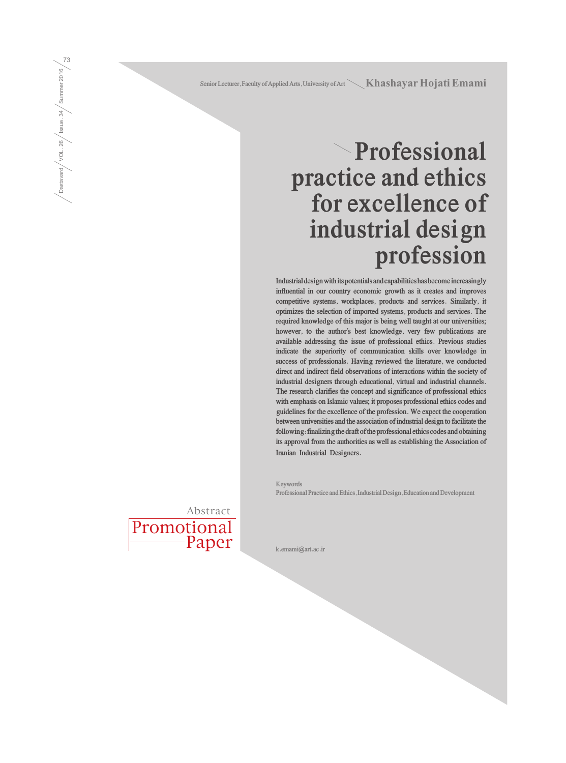Senior Lecturer, Faculty of Applied Arts, University of Art **Khashayar Hojati Emami** 

# **Professional practice and ethics for excellence of industrial design profession**

**Industrial design with its potentials and capabilities has become increasingly influential in our country economic growth as it creates and improves competitive systems, workplaces, products and services. Similarly, it optimizes the selection of imported systems, products and services. The required knowledge of this major is being well taught at our universities; however, to the author's best knowledge, very few publications are available addressing the issue of professional ethics. Previous studies indicate the superiority of communication skills over knowledge in success of professionals. Having reviewed the literature, we conducted direct and indirect field observations of interactions within the society of industrial designers through educational, virtual and industrial channels. The research clarifies the concept and significance of professional ethics with emphasis on Islamic values; it proposes professional ethics codes and guidelines for the excellence of the profession. We expect the cooperation between universities and the association of industrial design to facilitate the following: finalizing the draft of the professional ethics codes and obtaining its approval from the authorities as well as establishing the Association of Iranian Industrial Designers.**

**Keywords Professional Practice and Ethics, Industrial Design, Education and Development**



**k.emami@art.ac.ir**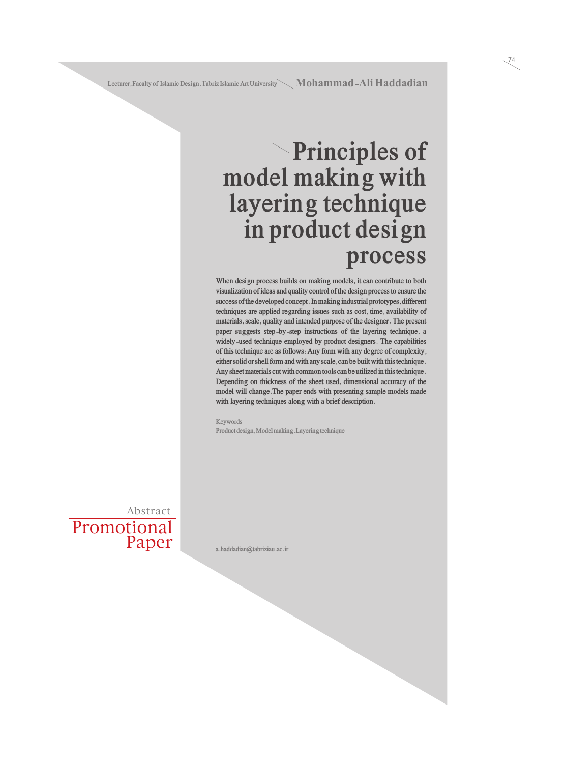#### **Principles of model making with layering technique in product design process**

**When design process builds on making models, it can contribute to both visualization of ideas and quality control of the design process to ensure the success of the developed concept. In making industrial prototypes, different techniques are applied regarding issues such as cost, time, availability of materials, scale, quality and intended purpose of the designer. The present paper suggests step-by-step instructions of the layering technique, a widely-used technique employed by product designers. The capabilities of this technique are as follows: Any form with any degree of complexity, either solid or shell form and with any scale, can be built with this technique. Any sheet materials cut with common tools can be utilized in this technique. Depending on thickness of the sheet used, dimensional accuracy of the model will change.The paper ends with presenting sample models made with layering techniques along with a brief description.**

**Keywords Product design, Model making, Layering technique**



**a.haddadian@tabriziau.ac.ir**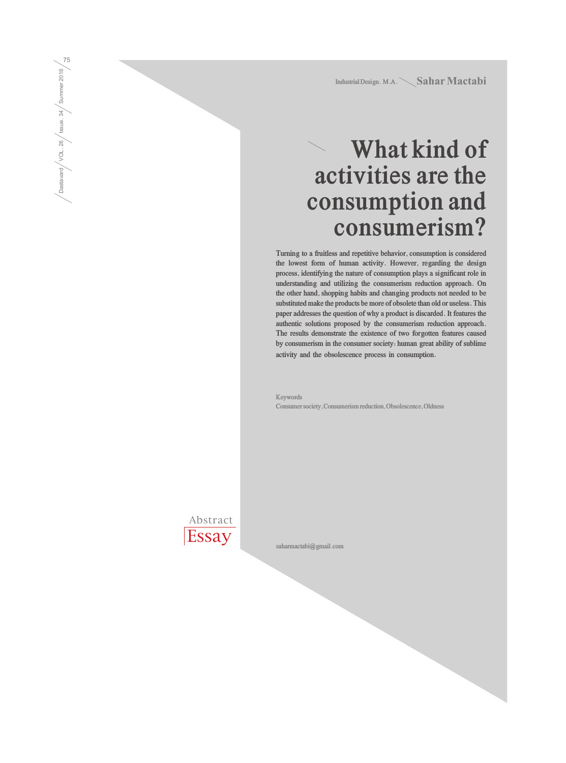Industrial Design. M.A. Sahar Mactabi

# **What kind of activities are the consumption and consumerism?**

**Turning to a fruitless and repetitive behavior, consumption is considered the lowest form of human activity. However, regarding the design process, identifying the nature of consumption plays a significant role in understanding and utilizing the consumerism reduction approach. On the other hand, shopping habits and changing products not needed to be substituted make the products be more of obsolete than old or useless. This paper addresses the question of why a product is discarded. It features the authentic solutions proposed by the consumerism reduction approach. The results demonstrate the existence of two forgotten features caused by consumerism in the consumer society: human great ability of sublime activity and the obsolescence process in consumption.**

**Keywords Consumer society, Consumerism reduction, Obsolescence, Oldness** 

Abstract **Essay** 

**saharmactabi@gmail.com**